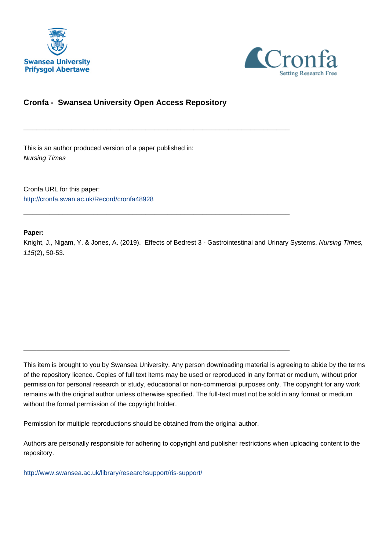



# **Cronfa - Swansea University Open Access Repository**

\_\_\_\_\_\_\_\_\_\_\_\_\_\_\_\_\_\_\_\_\_\_\_\_\_\_\_\_\_\_\_\_\_\_\_\_\_\_\_\_\_\_\_\_\_\_\_\_\_\_\_\_\_\_\_\_\_\_\_\_\_

\_\_\_\_\_\_\_\_\_\_\_\_\_\_\_\_\_\_\_\_\_\_\_\_\_\_\_\_\_\_\_\_\_\_\_\_\_\_\_\_\_\_\_\_\_\_\_\_\_\_\_\_\_\_\_\_\_\_\_\_\_

\_\_\_\_\_\_\_\_\_\_\_\_\_\_\_\_\_\_\_\_\_\_\_\_\_\_\_\_\_\_\_\_\_\_\_\_\_\_\_\_\_\_\_\_\_\_\_\_\_\_\_\_\_\_\_\_\_\_\_\_\_

This is an author produced version of a paper published in: Nursing Times

Cronfa URL for this paper: <http://cronfa.swan.ac.uk/Record/cronfa48928>

### **Paper:**

Knight, J., Nigam, Y. & Jones, A. (2019). Effects of Bedrest 3 - Gastrointestinal and Urinary Systems. Nursing Times, 115(2), 50-53.

This item is brought to you by Swansea University. Any person downloading material is agreeing to abide by the terms of the repository licence. Copies of full text items may be used or reproduced in any format or medium, without prior permission for personal research or study, educational or non-commercial purposes only. The copyright for any work remains with the original author unless otherwise specified. The full-text must not be sold in any format or medium without the formal permission of the copyright holder.

Permission for multiple reproductions should be obtained from the original author.

Authors are personally responsible for adhering to copyright and publisher restrictions when uploading content to the repository.

[http://www.swansea.ac.uk/library/researchsupport/ris-support/](http://www.swansea.ac.uk/library/researchsupport/ris-support/ )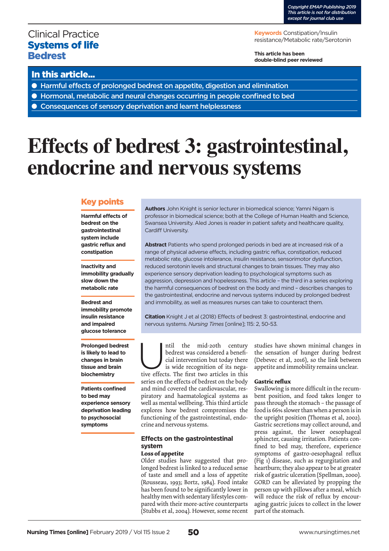# Clinical Practice Systems of life **Bedrest**

**Keywords** Constipation/Insulin resistance/Metabolic rate/Serotonin

**This article has been double-blind peer reviewed**

## In this article...

- Harmful effects of prolonged bedrest on appetite, digestion and elimination
- Hormonal, metabolic and neural changes occurring in people confined to bed
- Consequences of sensory deprivation and learnt helplessness

# **Effects of bedrest 3: gastrointestinal, endocrine and nervous systems**

### Key points

**Harmful effects of bedrest on the gastrointestinal system include gastric reflux and constipation**

**Inactivity and immobility gradually slow down the metabolic rate**

**Bedrest and immobility promote insulin resistance and impaired glucose tolerance**

**Prolonged bedrest is likely to lead to changes in brain tissue and brain biochemistry**

**Patients confined to bed may experience sensory deprivation leading to psychosocial symptoms** 

**Authors** John Knight is senior lecturer in biomedical science; Yamni Nigam is professor in biomedical science; both at the College of Human Health and Science, Swansea University. Aled Jones is reader in patient safety and healthcare quality, Cardiff University.

**Abstract** Patients who spend prolonged periods in bed are at increased risk of a range of physical adverse effects, including gastric reflux, constipation, reduced metabolic rate, glucose intolerance, insulin resistance, sensorimotor dysfunction, reduced serotonin levels and structural changes to brain tissues. They may also experience sensory deprivation leading to psychological symptoms such as aggression, depression and hopelessness. This article – the third in a series exploring the harmful consequences of bedrest on the body and mind – describes changes to the gastrointestinal, endocrine and nervous systems induced by prolonged bedrest and immobility, as well as measures nurses can take to counteract them.

**Citation** Knight J et al (2018) Effects of bedrest 3: gastrointestinal, endocrine and nervous systems. *Nursing Times* [online]; 115: 2, 50-53.

ntil the mid-20th century<br>bedrest was considered a benefi-<br>cial intervention but today there<br>is wide recognition of its nega-<br>tive effects. The first two articles in this bedrest was considered a beneficial intervention but today there is wide recognition of its negaseries on the effects of bedrest on the body and mind covered the cardiovascular, respiratory and haematological systems as well as mental wellbeing. This third article explores how bedrest compromises the functioning of the gastrointestinal, endocrine and nervous systems.

#### **Effects on the gastrointestinal system Loss of appetite**

Older studies have suggested that prolonged bedrest is linked to a reduced sense of taste and smell and a loss of appetite (Rousseau, 1993; Bortz, 1984). Food intake has been found to be significantly lower in healthy men with sedentary lifestyles compared with their more-active counterparts (Stubbs et al, 2004). However, some recent studies have shown minimal changes in the sensation of hunger during bedrest (Debevec et al, 2016), so the link between appetite and immobility remains unclear.

#### **Gastric reflux**

Swallowing is more difficult in the recumbent position, and food takes longer to pass through the stomach – the passage of food is 66% slower than when a person is in the upright position (Thomas et al, 2002). Gastric secretions may collect around, and press against, the lower oesophageal sphincter, causing irritation. Patients confined to bed may, therefore, experience symptoms of gastro-oesophageal reflux (Fig 1) disease, such as regurgitation and heartburn; they also appear to be at greater risk of gastric ulceration (Spellman, 2000). GORD can be alleviated by propping the person up with pillows after a meal, which will reduce the risk of reflux by encouraging gastric juices to collect in the lower part of the stomach.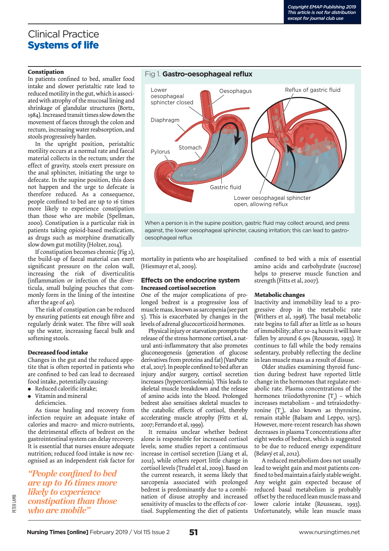# Clinical Practice Systems of life

In patients confined to bed, smaller food intake and slower peristaltic rate lead to reduced motility in the gut, which is associated with atrophy of the mucosal lining and shrinkage of glandular structures (Bortz, 1984). Increased transit times slow down the movement of faeces through the colon and rectum, increasing water reabsorption, and stools progressively harden.

In the upright position, peristaltic motility occurs at a normal rate and faecal material collects in the rectum; under the effect of gravity, stools exert pressure on the anal sphincter, initiating the urge to defecate. In the supine position, this does not happen and the urge to defecate is therefore reduced. As a consequence, people confined to bed are up to 16 times more likely to experience constipation than those who are mobile (Spellman, 2000). Constipation is a particular risk in patients taking opioid-based medication, as drugs such as morphine dramatically slow down gut motility (Holzer, 2014).

If constipation becomes chronic (Fig 2), the build-up of faecal material can exert significant pressure on the colon wall, increasing the risk of diverticulitis (inflammation or infection of the diverticula, small bulging pouches that commonly form in the lining of the intestine after the age of 40).

The risk of constipation can be reduced by ensuring patients eat enough fibre and regularly drink water. The fibre will soak up the water, increasing faecal bulk and softening stools.

#### **Decreased food intake**

Changes in the gut and the reduced appetite that is often reported in patients who are confined to bed can lead to decreased food intake, potentially causing:

- Reduced calorific intake; <sup>l</sup> Vitamin and mineral
	- deficiencies.

As tissue healing and recovery from infection require an adequate intake of calories and macro- and micro-nutrients, the detrimental effects of bedrest on the gastrointestinal system can delay recovery. It is essential that nurses ensure adequate nutrition; reduced food intake is now recognised as an independent risk factor for

*"People confined to bed are up to 16 times more likely to experience constipation than those who are mobile"*

# Lower Cesophagus oesophageal sphincter closed Diaphragm Stomach Pylorus

Lower oesophageal sphincter open, allowing reflux

When a person is in the supine position, gastric fluid may collect around, and press against, the lower oesophageal sphincter, causing irritation; this can lead to gastrooesophageal reflux

mortality in patients who are hospitalised (Hiesmayr et al, 2009).

#### **Effects on the endocrine system Increased cortisol secretion**

One of the major complications of prolonged bedrest is a progressive loss of muscle mass, known as sarcopenia (see part 5). This is exacerbated by changes in the levels of adrenal glucocorticoid hormones.

Physical injury or starvation prompts the release of the stress hormone cortisol, a natural anti-inflammatory that also promotes gluconeogenesis (generation of glucose derivatives from proteins and fat) (VanPutte et al, 2017). In people confined to bed after an injury and/or surgery, cortisol secretion increases (hypercortisolemia). This leads to skeletal muscle breakdown and the release of amino acids into the blood. Prolonged bedrest also sensitises skeletal muscles to the catabolic effects of cortisol, thereby accelerating muscle atrophy (Fitts et al, 2007; Ferrando et al, 1999).

It remains unclear whether bedrest alone is responsible for increased cortisol levels; some studies report a continuous increase in cortisol secretion (Liang et al, 2012), while others report little change in cortisol levels (Trudel et al, 2009). Based on the current research, it seems likely that sarcopenia associated with prolonged bedrest is predominantly due to a combination of disuse atrophy and increased sensitivity of muscles to the effects of cortisol. Supplementing the diet of patients

confined to bed with a mix of essential amino acids and carbohydrate (sucrose) helps to preserve muscle function and strength (Fitts et al, 2007).

#### **Metabolic changes**

Inactivity and immobility lead to a progressive drop in the metabolic rate (Withers et al, 1998). The basal metabolic rate begins to fall after as little as 10 hours of immobility; after 10-24 hours it will have fallen by around 6.9% (Rousseau, 1993). It continues to fall while the body remains sedentary, probably reflecting the decline in lean muscle mass as a result of disuse.

Older studies examining thyroid function during bedrest have reported little change in the hormones that regulate metabolic rate. Plasma concentrations of the hormones triiodothyronine  $(T_3)$  – which increases metabolism – and tetraiodothyronine  $(T_4)$ , also known as thyroxine, remain stable (Balsam and Leppo, 1975). However, more-recent research has shown decreases in plasma Tconcentrations after eight weeks of bedrest, which is suggested to be due to reduced energy expenditure (Belavý et al, 2012).

A reduced metabolism does not usually lead to weight gain and most patients confined to bed maintain a fairly stable weight. Any weight gain expected because of reduced basal metabolism is probably offset by the reduced lean muscle mass and lower calorie intake (Rousseau, 1993). Unfortunately, while lean muscle mass



**Constipation**<br> **Constitution**<br> **Constitution**<br> **Constitution**<br> **Constitution**<br> **Constitution**<br> **Constitution**<br> **Constitution**<br> **Constitution**<br> **Constitution**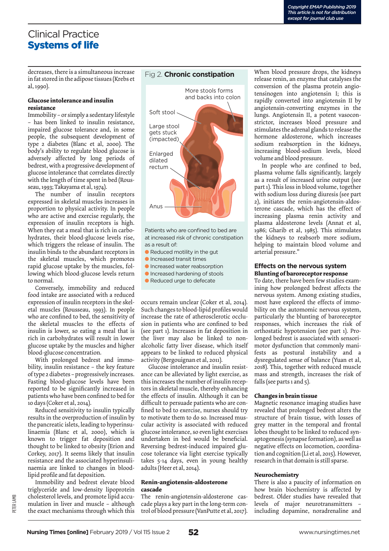# Clinical Practice Systems of life

decreases, there is a simultaneous increase in fat stored in the adipose tissues (Krebs et al, 1990).

#### **Glucose intolerance and insulin resistance**

Immobility – or simply a sedentary lifestyle – has been linked to insulin resistance, impaired glucose tolerance and, in some people, the subsequent development of type 2 diabetes (Blanc et al, 2000). The body's ability to regulate blood glucose is adversely affected by long periods of bedrest, with a progressive development of glucose intolerance that correlates directly with the length of time spent in bed (Rousseau, 1993; Takayama et al, 1974).

The number of insulin receptors expressed in skeletal muscles increases in proportion to physical activity. In people who are active and exercise regularly, the expression of insulin receptors is high. When they eat a meal that is rich in carbohydrates, their blood-glucose levels rise, which triggers the release of insulin. The insulin binds to the abundant receptors in the skeletal muscles, which promotes rapid glucose uptake by the muscles, following which blood-glucose levels return to normal.

Conversely, immobility and reduced food intake are associated with a reduced expression of insulin receptors in the skeletal muscles (Rousseau, 1993). In people who are confined to bed, the sensitivity of the skeletal muscles to the effects of insulin is lower, so eating a meal that is rich in carbohydrates will result in lower glucose uptake by the muscles and higher blood-glucose concentration.

With prolonged bedrest and immobility, insulin resistance – the key feature of type 2 diabetes – progressively increases. Fasting blood-glucose levels have been reported to be significantly increased in patients who have been confined to bed for 10 days (Coker et al, 2014).

Reduced sensitivity to insulin typically results in the overproduction of insulin by the pancreatic islets, leading to hyperinsulinaemia (Blanc et al, 2000), which is known to trigger fat deposition and thought to be linked to obesity (Erion and Corkey, 2017). It seems likely that insulin resistance and the associated hyperinsulinaemia are linked to changes in bloodlipid profile and fat deposition.

Immobility and bedrest elevate blood triglyceride and low-density lipoprotein cholesterol levels, and promote lipid accumulation in liver and muscle – although the exact mechanisms through which this

### Fig 2. **Chronic constipation**



at increased risk of chronic constipation as a result of: which is a result of  $\sim$ 

- $\bullet$  Reduced motility in the gut
- $\bullet$  Increased transit times
- **Increased water reabsorption C** Increased hardening of stools
- 
- Reduced urge to defecate

occurs remain unclear (Coker et al, 2014). Such changes to blood-lipid profiles would increase the rate of atherosclerotic occlusion in patients who are confined to bed (see part 1). Increases in fat deposition in the liver may also be linked to nonalcoholic fatty liver disease, which itself appears to be linked to reduced physical activity (Bergouignan et al, 2011).

Glucose intolerance and insulin resistance can be alleviated by light exercise, as this increases the number of insulin receptors in skeletal muscle, thereby enhancing the effects of insulin. Although it can be difficult to persuade patients who are confined to bed to exercise, nurses should try to motivate them to do so. Increased muscular activity is associated with reduced glucose intolerance, so even light exercises undertaken in bed would be beneficial. Reversing bedrest-induced impaired glucose tolerance via light exercise typically takes 5-14 days, even in young healthy adults (Heer et al, 2014).

#### **Renin-angiotensin-aldosterone cascade**

The renin-angiotensin-aldosterone cascade plays a key part in the long-term control of blood pressure (VanPutte et al, 2017).

When blood pressure drops, the kidneys release renin, an enzyme that catalyses the conversion of the plasma protein angiotensinogen into angiotensin I; this is rapidly converted into angiotensin II by angiotensin-converting enzymes in the lungs. Angiotensin II, a potent vasoconstrictor, increases blood pressure and stimulates the adrenal glands to release the hormone aldosterone, which increases sodium reabsorption in the kidneys, increasing blood-sodium levels, blood volume and blood pressure.

In people who are confined to bed, plasma volume falls significantly, largely as a result of increased urine output (see part 1). This loss in blood volume, together with sodium loss during diuresis (see part 2), initiates the renin-angiotensin-aldosterone cascade, which has the effect of increasing plasma renin activity and plasma aldosterone levels (Annat et al, 1986; Gharib et al, 1985). This stimulates the kidneys to reabsorb more sodium, helping to maintain blood volume and arterial pressure."

#### **Effects on the nervous system Blunting of baroreceptor response**

To date, there have been few studies examining how prolonged bedrest affects the nervous system. Among existing studies, most have explored the effects of immobility on the automomic nervous system, particularly the blunting of baroreceptor responses, which increases the risk of orthostatic hypotension (see part 1). Prolonged bedrest is associated with sensorimotor dysfunction that commonly manifests as postural instability and a dysregulated sense of balance (Yuan et al, 2018). This, together with reduced muscle mass and strength, increases the risk of falls (see parts 1 and 5).

#### **Changes in brain tissue**

Magnetic resonance imaging studies have revealed that prolonged bedrest alters the structure of brain tissue, with losses of grey matter in the temporal and frontal lobes thought to be linked to reduced synaptogenesis (synapse formation), as well as negative effects on locomotion, coordination and cognition (Li et al, 2015). However, research in that domain is still sparse.

#### **Neurochemistry**

There is also a paucity of information on how brain biochemistry is affected by bedrest. Older studies have revealed that levels of major neurotransmitters – including dopamine, noradrenaline and